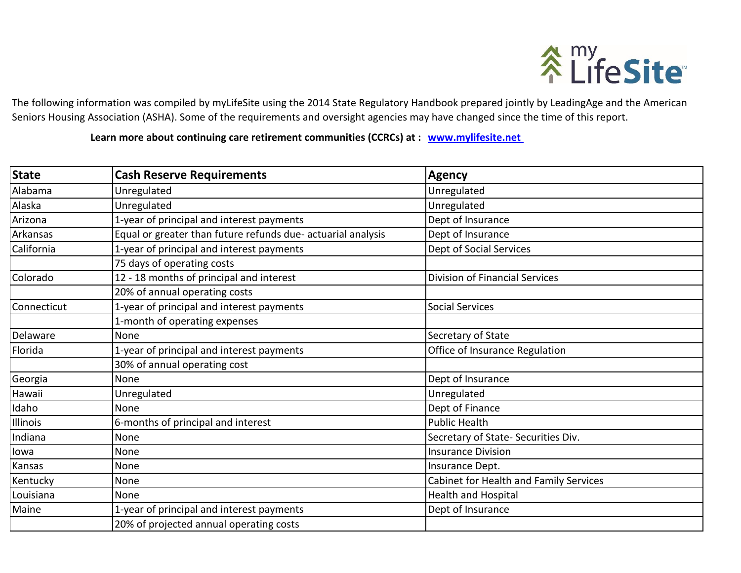

The following information was compiled by myLifeSite using the 2014 State Regulatory Handbook prepared jointly by LeadingAge and the American Seniors Housing Association (ASHA). Some of the requirements and oversight agencies may have changed since the time of this report.

Learn more about continuing care retirement communities (CCRCs) at : **www.mylifesite.net** 

| <b>State</b> | <b>Cash Reserve Requirements</b>                             | Agency                                 |
|--------------|--------------------------------------------------------------|----------------------------------------|
| Alabama      | Unregulated                                                  | Unregulated                            |
| Alaska       | Unregulated                                                  | Unregulated                            |
| Arizona      | 1-year of principal and interest payments                    | Dept of Insurance                      |
| Arkansas     | Equal or greater than future refunds due- actuarial analysis | Dept of Insurance                      |
| California   | 1-year of principal and interest payments                    | Dept of Social Services                |
|              | 75 days of operating costs                                   |                                        |
| Colorado     | 12 - 18 months of principal and interest                     | <b>Division of Financial Services</b>  |
|              | 20% of annual operating costs                                |                                        |
| Connecticut  | 1-year of principal and interest payments                    | <b>Social Services</b>                 |
|              | 1-month of operating expenses                                |                                        |
| Delaware     | None                                                         | Secretary of State                     |
| Florida      | 1-year of principal and interest payments                    | Office of Insurance Regulation         |
|              | 30% of annual operating cost                                 |                                        |
| Georgia      | None                                                         | Dept of Insurance                      |
| Hawaii       | Unregulated                                                  | Unregulated                            |
| Idaho        | None                                                         | Dept of Finance                        |
| Illinois     | 6-months of principal and interest                           | <b>Public Health</b>                   |
| Indiana      | None                                                         | Secretary of State- Securities Div.    |
| lowa         | None                                                         | <b>Insurance Division</b>              |
| Kansas       | None                                                         | Insurance Dept.                        |
| Kentucky     | None                                                         | Cabinet for Health and Family Services |
| Louisiana    | None                                                         | <b>Health and Hospital</b>             |
| Maine        | 1-year of principal and interest payments                    | Dept of Insurance                      |
|              | 20% of projected annual operating costs                      |                                        |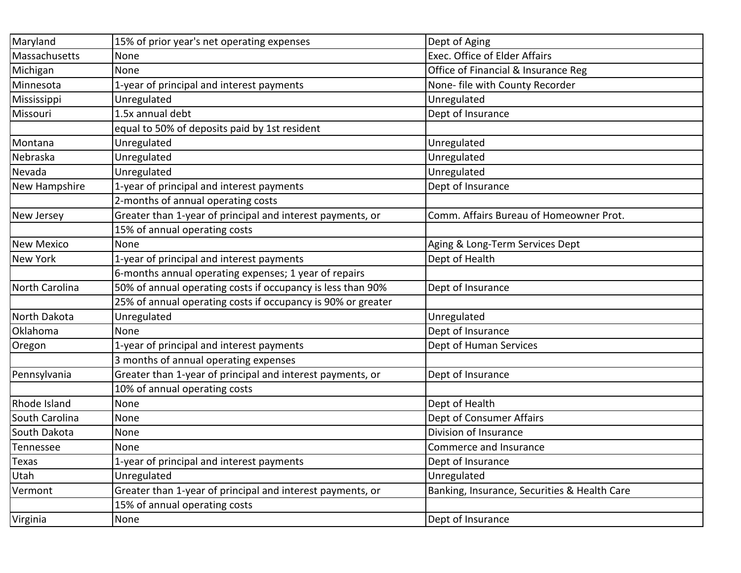| Maryland             | 15% of prior year's net operating expenses                   | Dept of Aging                                |
|----------------------|--------------------------------------------------------------|----------------------------------------------|
| Massachusetts        | None                                                         | Exec. Office of Elder Affairs                |
| Michigan             | None                                                         | Office of Financial & Insurance Reg          |
| Minnesota            | 1-year of principal and interest payments                    | None- file with County Recorder              |
| Mississippi          | Unregulated                                                  | Unregulated                                  |
| Missouri             | 1.5x annual debt                                             | Dept of Insurance                            |
|                      | equal to 50% of deposits paid by 1st resident                |                                              |
| Montana              | Unregulated                                                  | Unregulated                                  |
| Nebraska             | Unregulated                                                  | Unregulated                                  |
| Nevada               | Unregulated                                                  | Unregulated                                  |
| <b>New Hampshire</b> | 1-year of principal and interest payments                    | Dept of Insurance                            |
|                      | 2-months of annual operating costs                           |                                              |
| New Jersey           | Greater than 1-year of principal and interest payments, or   | Comm. Affairs Bureau of Homeowner Prot.      |
|                      | 15% of annual operating costs                                |                                              |
| <b>New Mexico</b>    | None                                                         | Aging & Long-Term Services Dept              |
| <b>New York</b>      | 1-year of principal and interest payments                    | Dept of Health                               |
|                      | 6-months annual operating expenses; 1 year of repairs        |                                              |
| North Carolina       | 50% of annual operating costs if occupancy is less than 90%  | Dept of Insurance                            |
|                      | 25% of annual operating costs if occupancy is 90% or greater |                                              |
| North Dakota         | Unregulated                                                  | Unregulated                                  |
| Oklahoma             | None                                                         | Dept of Insurance                            |
| Oregon               | 1-year of principal and interest payments                    | Dept of Human Services                       |
|                      | 3 months of annual operating expenses                        |                                              |
| Pennsylvania         | Greater than 1-year of principal and interest payments, or   | Dept of Insurance                            |
|                      | 10% of annual operating costs                                |                                              |
| Rhode Island         | None                                                         | Dept of Health                               |
| South Carolina       | None                                                         | Dept of Consumer Affairs                     |
| South Dakota         | None                                                         | Division of Insurance                        |
| Tennessee            | None                                                         | Commerce and Insurance                       |
| <b>Texas</b>         | 1-year of principal and interest payments                    | Dept of Insurance                            |
| Utah                 | Unregulated                                                  | Unregulated                                  |
| Vermont              | Greater than 1-year of principal and interest payments, or   | Banking, Insurance, Securities & Health Care |
|                      | 15% of annual operating costs                                |                                              |
| Virginia             | None                                                         | Dept of Insurance                            |